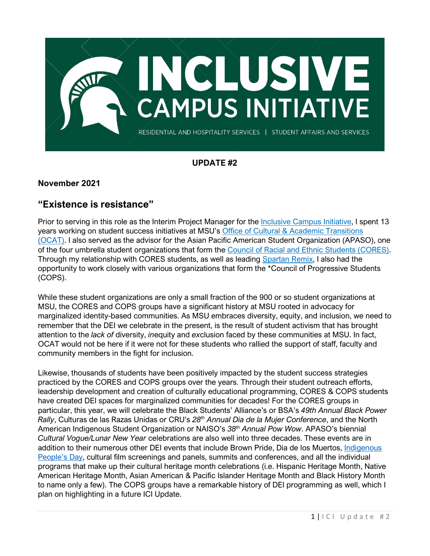

# **UPDATE #2**

### **November 2021**

## **"Existence is resistance"**

Prior to serving in this role as the Interim Project Manager for the [Inclusive Campus Initiative,](https://ocat.msu.edu/inclusive-campus-initiative/) I spent 13 years working on student success initiatives at MSU's [Office of Cultural & Academic Transitions](https://ocat.msu.edu/) [\(OCAT\).](https://ocat.msu.edu/) I also served as the advisor for the Asian Pacific American Student Organization (APASO), one of the four umbrella student organizations that form the [Council of Racial and Ethnic Students \(CORES\).](https://ocat.msu.edu/student-organizations/council-of-racial-ethnic-students-cores/) Through my relationship with CORES students, as well as leading [Spartan Remix,](https://ocat.msu.edu/contact-us/spartan-remix/) I also had the opportunity to work closely with various organizations that form the \*Council of Progressive Students (COPS).

While these student organizations are only a small fraction of the 900 or so student organizations at MSU, the CORES and COPS groups have a significant history at MSU rooted in advocacy for marginalized identity-based communities. As MSU embraces diversity, equity, and inclusion, we need to remember that the DEI we celebrate in the present, is the result of student activism that has brought attention to the *lack of* diversity, *in*equity and *ex*clusion faced by these communities at MSU. In fact, OCAT would not be here if it were not for these students who rallied the support of staff, faculty and community members in the fight for inclusion.

Likewise, thousands of students have been positively impacted by the student success strategies practiced by the CORES and COPS groups over the years. Through their student outreach efforts, leadership development and creation of culturally educational programming, CORES & COPS students have created DEI spaces for marginalized communities for decades! For the CORES groups in particular, this year, we will celebrate the Black Students' Alliance's or BSA's *49th Annual Black Power Rally*, Culturas de las Razas Unidas or CRU's *28th Annual Dia de la Mujer Conference*, and the North American Indigenous Student Organization or NAISO's *38th Annual Pow Wow*. APASO's biennial *Cultural Vogue/Lunar New Year* celebrations are also well into three decades. These events are in addition to their numerous other DEI events that include Brown Pride, Dia de los Muertos, Indigenous [People's Day,](https://statenews.com/article/2021/10/students-gather-at-the-rock-to-celebrate-indigenous-peoples-day?ct=content_open&cv=cbox_featured) cultural film screenings and panels, summits and conferences, and all the individual programs that make up their cultural heritage month celebrations (i.e. Hispanic Heritage Month, Native American Heritage Month, Asian American & Pacific Islander Heritage Month and Black History Month to name only a few). The COPS groups have a remarkable history of DEI programming as well, which I plan on highlighting in a future ICI Update.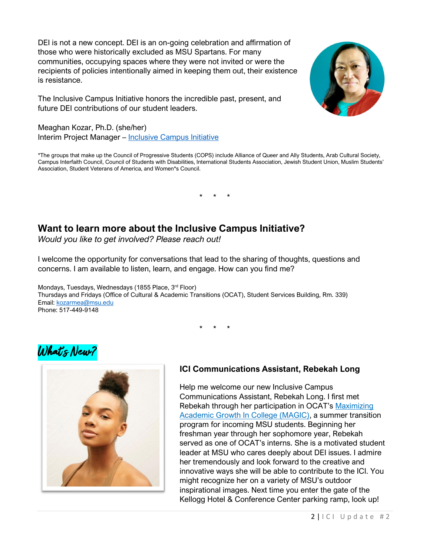DEI is not a new concept. DEI is an on-going celebration and affirmation of those who were historically excluded as MSU Spartans. For many communities, occupying spaces where they were not invited or were the recipients of policies intentionally aimed in keeping them out, their existence is resistance.

The Inclusive Campus Initiative honors the incredible past, present, and future DEI contributions of our student leaders.



\*The groups that make up the Council of Progressive Students (COPS) include Alliance of Queer and Ally Students, Arab Cultural Society, Campus Interfaith Council, Council of Students with Disabilities, International Students Association, Jewish Student Union, Muslim Students' Association, Student Veterans of America, and Women\*s Council.

\* \* \*

# **Want to learn more about the Inclusive Campus Initiative?**

*Would you like to get involved? Please reach out!*

I welcome the opportunity for conversations that lead to the sharing of thoughts, questions and concerns. I am available to listen, learn, and engage. How can you find me?

Mondays, Tuesdays, Wednesdays (1855 Place, 3rd Floor) Thursdays and Fridays (Office of Cultural & Academic Transitions (OCAT), Student Services Building, Rm. 339) Email: [kozarmea@msu.edu](mailto:kozarmea@msu.edu) Phone: 517-449-9148

\* \* \*





### **ICI Communications Assistant, Rebekah Long**

Help me welcome our new Inclusive Campus Communications Assistant, Rebekah Long. I first met Rebekah through her participation in OCAT's [Maximizing](https://ocat.msu.edu/e-pre-college/magic-maximizing-academic-growth-in-college/)  [Academic Growth In College \(MAGIC\),](https://ocat.msu.edu/e-pre-college/magic-maximizing-academic-growth-in-college/) a summer transition program for incoming MSU students. Beginning her freshman year through her sophomore year, Rebekah served as one of OCAT's interns. She is a motivated student leader at MSU who cares deeply about DEI issues. I admire her tremendously and look forward to the creative and innovative ways she will be able to contribute to the ICI. You might recognize her on a variety of MSU's outdoor inspirational images. Next time you enter the gate of the Kellogg Hotel & Conference Center parking ramp, look up!



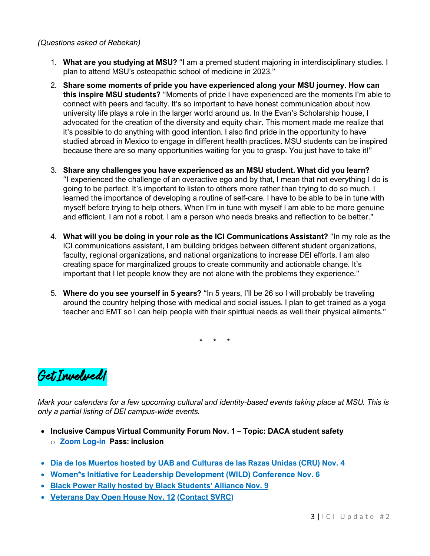#### *(Questions asked of Rebekah)*

- 1. **What are you studying at MSU?** "I am a premed student majoring in interdisciplinary studies. I plan to attend MSU's osteopathic school of medicine in 2023."
- 2. **Share some moments of pride you have experienced along your MSU journey. How can this inspire MSU students?** "Moments of pride I have experienced are the moments I'm able to connect with peers and faculty. It's so important to have honest communication about how university life plays a role in the larger world around us. In the Evan's Scholarship house, I advocated for the creation of the diversity and equity chair. This moment made me realize that it's possible to do anything with good intention. I also find pride in the opportunity to have studied abroad in Mexico to engage in different health practices. MSU students can be inspired because there are so many opportunities waiting for you to grasp. You just have to take it!"
- 3. **Share any challenges you have experienced as an MSU student. What did you learn?** "I experienced the challenge of an overactive ego and by that, I mean that not everything I do is going to be perfect. It's important to listen to others more rather than trying to do so much. I learned the importance of developing a routine of self-care. I have to be able to be in tune with myself before trying to help others. When I'm in tune with myself I am able to be more genuine and efficient. I am not a robot. I am a person who needs breaks and reflection to be better."
- 4. **What will you be doing in your role as the ICI Communications Assistant?** "In my role as the ICI communications assistant, I am building bridges between different student organizations, faculty, regional organizations, and national organizations to increase DEI efforts. I am also creating space for marginalized groups to create community and actionable change. It's important that I let people know they are not alone with the problems they experience."
- 5. **Where do you see yourself in 5 years?** "In 5 years, I'll be 26 so I will probably be traveling around the country helping those with medical and social issues. I plan to get trained as a yoga teacher and EMT so I can help people with their spiritual needs as well their physical ailments."

\* \* \*



*Mark your calendars for a few upcoming cultural and identity-based events taking place at MSU. This is only a partial listing of DEI campus-wide events.* 

- **Inclusive Campus Virtual Community Forum Nov. 1 – Topic: DACA student safety** o **[Zoom Log-in](https://msu.zoom.us/j/94900308223) Pass: inclusion**
- **Dia de los Muertos [hosted by UAB and Culturas de las Razas Unidas \(CRU\) Nov. 4](https://uabevents.com/node/436)**
- **[Women\\*s Initiative for Leadership Development \(WILD\)](https://www.msuwildconference.com/) Conference Nov. 6**
- **Black Power Rally [hosted by Black Students' Alliance](https://www.instagram.com/p/CVTM_hllExC/) Nov. 9**
- **[Veterans Day Open House Nov. 12](https://www.instagram.com/p/CVdC3UqleV8/) [\(Contact SVRC\)](http://veterans.msu.edu/)**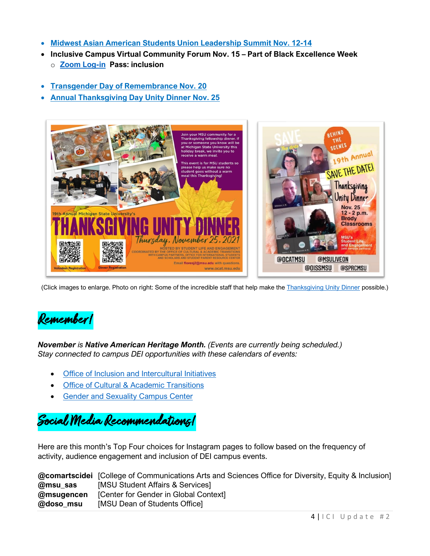- **[Midwest Asian American Students Union](https://ocat.msu.edu/asian-am-cultural-programming/) Leadership Summit Nov. 12-14**
- **Inclusive Campus Virtual Community Forum Nov. 15 – Part of Black Excellence Week** o **[Zoom Log-in](https://msu.zoom.us/j/94900308223) Pass: inclusion**
- **[Transgender Day of Remembrance Nov. 20](https://ocat.msu.edu/wp-content/uploads/2021/10/SAVE-THE-DATE.png)**
- **[Annual Thanksgiving Day Unity Dinner Nov. 25](https://ocat.msu.edu/thanksgiving-unity-dinner-2/)**



(Click images to enlarge. Photo on right: Some of the incredible staff that help make the [Thanksgiving Unity Dinner](https://ocat.msu.edu/thanksgiving-unity-dinner-2/) possible.)



*November is Native American Heritage Month. (Events are currently being scheduled.) Stay connected to campus DEI opportunities with these calendars of events:*

- [Office of Inclusion and Intercultural Initiatives](https://inclusion.msu.edu/events/index.html)
- [Office of Cultural & Academic Transitions](https://ocat.msu.edu/)
- [Gender and Sexuality Campus Center](https://gscc.msu.edu/programs/program-calendar.html)

Social Media Recommendations!

Here are this month's Top Four choices for Instagram pages to follow based on the frequency of activity, audience engagement and inclusion of DEI campus events.

|            | <b>@comartscidei</b> [College of Communications Arts and Sciences Office for Diversity, Equity & Inclusion] |
|------------|-------------------------------------------------------------------------------------------------------------|
| @msu sas   | [MSU Student Affairs & Services]                                                                            |
| @msugencen | [Center for Gender in Global Context]                                                                       |
| @doso msu  | [MSU Dean of Students Office]                                                                               |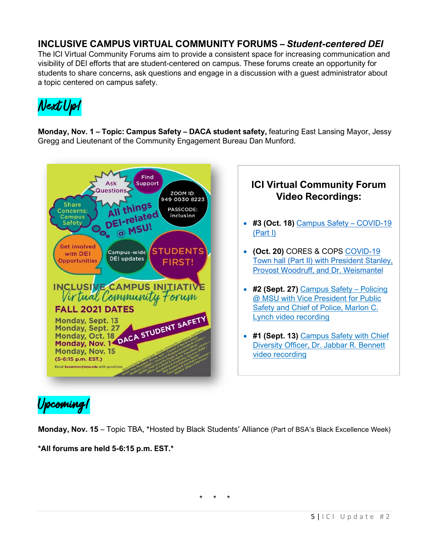## **INCLUSIVE CAMPUS VIRTUAL COMMUNITY FORUMS –** *Student-centered DEI*

The ICI Virtual Community Forums aim to provide a consistent space for increasing communication and visibility of DEI efforts that are student-centered on campus. These forums create an opportunity for students to share concerns, ask questions and engage in a discussion with a guest administrator about a topic centered on campus safety.



**Monday, Nov. 1 – Topic: Campus Safety – DACA student safety,** featuring East Lansing Mayor, Jessy Gregg and Lieutenant of the Community Engagement Bureau Dan Munford.





- **(Oct. 20)** CORES & COPS [COVID-19](https://web.microsoftstream.com/video/aa303432-9de0-45df-8342-664a676baa15)  [Town hall \(Part II\) with President Stanley,](https://web.microsoftstream.com/video/aa303432-9de0-45df-8342-664a676baa15)  [Provost Woodruff, and Dr. Weismantel](https://web.microsoftstream.com/video/aa303432-9de0-45df-8342-664a676baa15)
- **#2 (Sept. 27)** [Campus Safety –](https://mediaspace.msu.edu/media/Inclusive+Campus+Initiative+Virtual+Community+Forum+9.27.2021+Guest+Marlon+C.+Lynch/1_ct6bt739) Policing [@ MSU with Vice President for Public](https://mediaspace.msu.edu/media/Inclusive+Campus+Initiative+Virtual+Community+Forum+9.27.2021+Guest+Marlon+C.+Lynch/1_ct6bt739)  [Safety and Chief of Police, Marlon C.](https://mediaspace.msu.edu/media/Inclusive+Campus+Initiative+Virtual+Community+Forum+9.27.2021+Guest+Marlon+C.+Lynch/1_ct6bt739)  [Lynch video recording](https://mediaspace.msu.edu/media/Inclusive+Campus+Initiative+Virtual+Community+Forum+9.27.2021+Guest+Marlon+C.+Lynch/1_ct6bt739)
- **#1 (Sept. 13)** [Campus Safety with Chief](https://mediaspace.msu.edu/media/Inclusive+Campus+Initiative+Virtual+Community+Forum+9.13.2021+Guest+Dr.+Jabbar+R.+Bennett/1_psuy9k1v)  [Diversity Officer, Dr. Jabbar R. Bennett](https://mediaspace.msu.edu/media/Inclusive+Campus+Initiative+Virtual+Community+Forum+9.13.2021+Guest+Dr.+Jabbar+R.+Bennett/1_psuy9k1v)  [video recording](https://mediaspace.msu.edu/media/Inclusive+Campus+Initiative+Virtual+Community+Forum+9.13.2021+Guest+Dr.+Jabbar+R.+Bennett/1_psuy9k1v)

Upcoming!

**Monday, Nov. 15** – Topic TBA, \*Hosted by Black Students' Alliance (Part of BSA's Black Excellence Week)

\* \* \*

**\*All forums are held 5-6:15 p.m. EST.\*** 

5 | ICI Update # 2